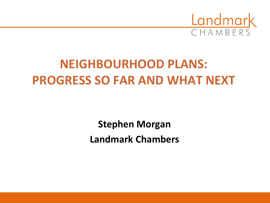

# **NEIGHBOURHOOD PLANS: PROGRESS SO FAR AND WHAT NEXT**

**Stephen Morgan Landmark Chambers**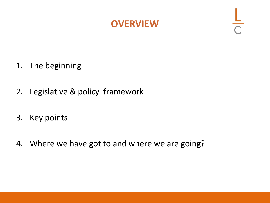#### **OVERVIEW**

- 1. The beginning
- 2. Legislative & policy framework
- 3. Key points
- 4. Where we have got to and where we are going?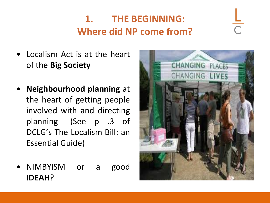## **1. THE BEGINNING: Where did NP come from?**

- Localism Act is at the heart of the **Big Society**
- **Neighbourhood planning** at the heart of getting people involved with and directing planning (See p .3 of DCLG's The Localism Bill: an Essential Guide)
- NIMBYISM or a good **IDEAH**?

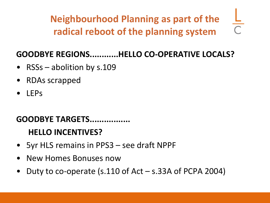**Neighbourhood Planning as part of the radical reboot of the planning system**

#### **GOODBYE REGIONS............HELLO CO-OPERATIVE LOCALS?**

- RSSs abolition by s.109
- RDAs scrapped
- LEPs

#### **GOODBYE TARGETS.................**

#### **HELLO INCENTIVES?**

- 5yr HLS remains in PPS3 see draft NPPF
- New Homes Bonuses now
- Duty to co-operate (s.110 of  $Act s.33A$  of PCPA 2004)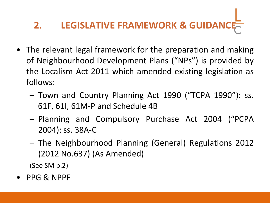# **2. LEGISLATIVE FRAMEWORK & GUIDANC**

- The relevant legal framework for the preparation and making of Neighbourhood Development Plans ("NPs") is provided by the Localism Act 2011 which amended existing legislation as follows:
	- Town and Country Planning Act 1990 ("TCPA 1990"): ss. 61F, 61I, 61M-P and Schedule 4B
	- Planning and Compulsory Purchase Act 2004 ("PCPA 2004): ss. 38A-C
	- The Neighbourhood Planning (General) Regulations 2012 (2012 No.637) (As Amended)
	- (See SM p.2)
- PPG & NPPF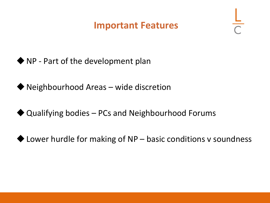#### **Important Features**

◆ NP - Part of the development plan

◆ Neighbourhood Areas – wide discretion

 $\triangle$  Qualifying bodies – PCs and Neighbourhood Forums

 $\blacklozenge$  Lower hurdle for making of NP – basic conditions v soundness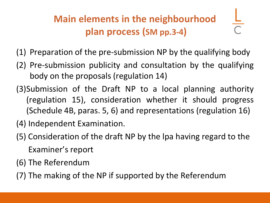# **Main elements in the neighbourhood plan process (SM pp.3-4)**

- (1) Preparation of the pre-submission NP by the qualifying body
- (2) Pre-submission publicity and consultation by the qualifying body on the proposals (regulation 14)
- (3)Submission of the Draft NP to a local planning authority (regulation 15), consideration whether it should progress (Schedule 4B, paras. 5, 6) and representations (regulation 16)
- (4) Independent Examination.
- (5) Consideration of the draft NP by the lpa having regard to the Examiner's report
- (6) The Referendum
- (7) The making of the NP if supported by the Referendum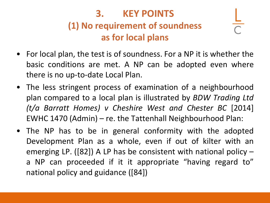#### **3. KEY POINTS (1) No requirement of soundness as for local plans**

- For local plan, the test is of soundness. For a NP it is whether the basic conditions are met. A NP can be adopted even where there is no up-to-date Local Plan.
- The less stringent process of examination of a neighbourhood plan compared to a local plan is illustrated by *BDW Trading Ltd (t/a Barratt Homes) v Cheshire West and Chester BC* [2014] EWHC 1470 (Admin) – re. the Tattenhall Neighbourhood Plan:
- The NP has to be in general conformity with the adopted Development Plan as a whole, even if out of kilter with an emerging LP. ([82]) A LP has be consistent with national policy – a NP can proceeded if it it appropriate "having regard to" national policy and guidance ([84])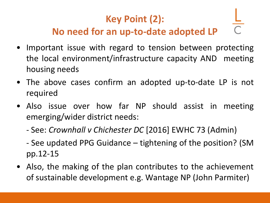# **Key Point (2):**

#### **No need for an up-to-date adopted LP**

- Important issue with regard to tension between protecting the local environment/infrastructure capacity AND meeting housing needs
- The above cases confirm an adopted up-to-date LP is not required
- Also issue over how far NP should assist in meeting emerging/wider district needs:
	- See: *Crownhall v Chichester DC* [2016] EWHC 73 (Admin)
	- See updated PPG Guidance tightening of the position? (SM pp.12-15
- Also, the making of the plan contributes to the achievement of sustainable development e.g. Wantage NP (John Parmiter)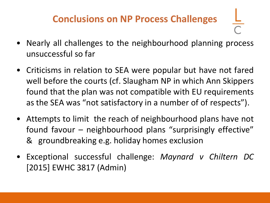# **Conclusions on NP Process Challenges**

- Nearly all challenges to the neighbourhood planning process unsuccessful so far
- Criticisms in relation to SEA were popular but have not fared well before the courts (cf. Slaugham NP in which Ann Skippers found that the plan was not compatible with EU requirements as the SEA was "not satisfactory in a number of of respects").
- Attempts to limit the reach of neighbourhood plans have not found favour – neighbourhood plans "surprisingly effective" & groundbreaking e.g. holiday homes exclusion
- Exceptional successful challenge: *Maynard v Chiltern DC* [2015] EWHC 3817 (Admin)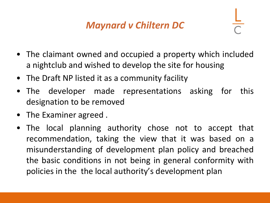#### *Maynard v Chiltern DC*

- The claimant owned and occupied a property which included a nightclub and wished to develop the site for housing
- The Draft NP listed it as a community facility
- The developer made representations asking for this designation to be removed
- The Examiner agreed.
- The local planning authority chose not to accept that recommendation, taking the view that it was based on a misunderstanding of development plan policy and breached the basic conditions in not being in general conformity with policies in the the local authority's development plan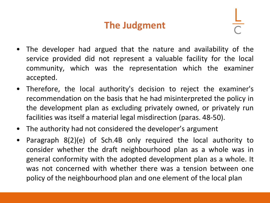#### **The Judgment**

- The developer had argued that the nature and availability of the service provided did not represent a valuable facility for the local community, which was the representation which the examiner accepted.
- Therefore, the local authority's decision to reject the examiner's recommendation on the basis that he had misinterpreted the policy in the development plan as excluding privately owned, or privately run facilities was itself a material legal misdirection (paras. 48-50).
- The authority had not considered the developer's argument
- Paragraph 8(2)(e) of Sch.4B only required the local authority to consider whether the draft neighbourhood plan as a whole was in general conformity with the adopted development plan as a whole. It was not concerned with whether there was a tension between one policy of the neighbourhood plan and one element of the local plan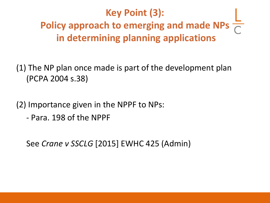## **Key Point (3): Policy approach to emerging and made NPs**  $\frac{1}{6}$ **in determining planning applications**

(1) The NP plan once made is part of the development plan (PCPA 2004 s.38)

(2) Importance given in the NPPF to NPs:

- Para. 198 of the NPPF

See *Crane v SSCLG* [2015] EWHC 425 (Admin)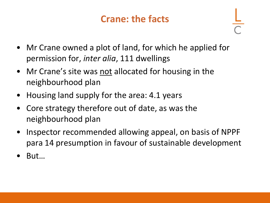### **Crane: the facts**

- 
- Mr Crane owned a plot of land, for which he applied for permission for, *inter alia*, 111 dwellings
- Mr Crane's site was not allocated for housing in the neighbourhood plan
- Housing land supply for the area: 4.1 years
- Core strategy therefore out of date, as was the neighbourhood plan
- Inspector recommended allowing appeal, on basis of NPPF para 14 presumption in favour of sustainable development
- But…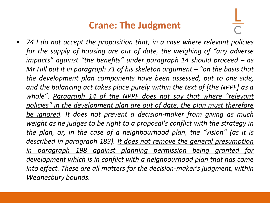#### **Crane: The Judgment**

• *74 I do not accept the proposition that, in a case where relevant policies for the supply of housing are out of date, the weighing of "any adverse impacts" against "the benefits" under paragraph 14 should proceed – as Mr Hill put it in paragraph 71 of his skeleton argument – "on the basis that the development plan components have been assessed, put to one side, and the balancing act takes place purely within the text of [the NPPF] as a whole". Paragraph 14 of the NPPF does not say that where "relevant policies" in the development plan are out of date, the plan must therefore be ignored. It does not prevent a decision-maker from giving as much weight as he judges to be right to a proposal's conflict with the strategy in the plan, or, in the case of a neighbourhood plan, the "vision" (as it is described in paragraph 183). It does not remove the general presumption in paragraph 198 against planning permission being granted for development which is in conflict with a neighbourhood plan that has come into effect. These are all matters for the decision-maker's judgment, within Wednesbury bounds.*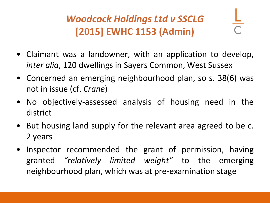# *Woodcock Holdings Ltd v SSCLG* **[2015] EWHC 1153 (Admin)**

- Claimant was a landowner, with an application to develop, *inter alia*, 120 dwellings in Sayers Common, West Sussex
- Concerned an emerging neighbourhood plan, so s. 38(6) was not in issue (cf. *Crane*)
- No objectively-assessed analysis of housing need in the district
- But housing land supply for the relevant area agreed to be c. 2 years
- Inspector recommended the grant of permission, having granted *"relatively limited weight"* to the emerging neighbourhood plan, which was at pre-examination stage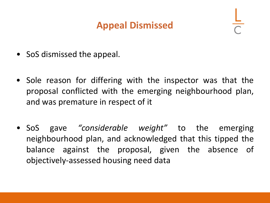#### **Appeal Dismissed**

- SoS dismissed the appeal.
- Sole reason for differing with the inspector was that the proposal conflicted with the emerging neighbourhood plan, and was premature in respect of it
- SoS gave *"considerable weight"* to the emerging neighbourhood plan, and acknowledged that this tipped the balance against the proposal, given the absence of objectively-assessed housing need data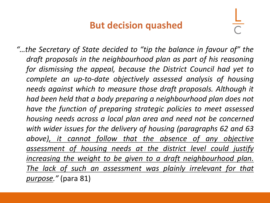#### **But decision quashed**

*"…the Secretary of State decided to "tip the balance in favour of" the draft proposals in the neighbourhood plan as part of his reasoning for dismissing the appeal, because the District Council had yet to complete an up-to-date objectively assessed analysis of housing needs against which to measure those draft proposals. Although it had been held that a body preparing a neighbourhood plan does not have the function of preparing strategic policies to meet assessed housing needs across a local plan area and need not be concerned with wider issues for the delivery of housing (paragraphs 62 and 63 above), it cannot follow that the absence of any objective assessment of housing needs at the district level could justify increasing the weight to be given to a draft neighbourhood plan. The lack of such an assessment was plainly irrelevant for that purpose."* (para 81)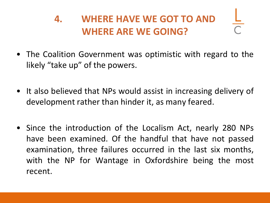# **4. WHERE HAVE WE GOT TO AND WHERE ARE WE GOING?**

- The Coalition Government was optimistic with regard to the likely "take up" of the powers.
- It also believed that NPs would assist in increasing delivery of development rather than hinder it, as many feared.
- Since the introduction of the Localism Act, nearly 280 NPs have been examined. Of the handful that have not passed examination, three failures occurred in the last six months, with the NP for Wantage in Oxfordshire being the most recent.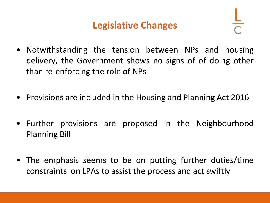#### **Legislative Changes**

- 
- Notwithstanding the tension between NPs and housing delivery, the Government shows no signs of of doing other than re-enforcing the role of NPs
- Provisions are included in the Housing and Planning Act 2016
- Further provisions are proposed in the Neighbourhood Planning Bill
- The emphasis seems to be on putting further duties/time constraints on LPAs to assist the process and act swiftly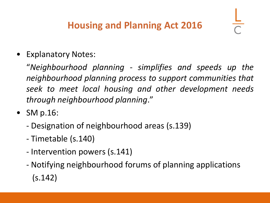• Explanatory Notes:

"*Neighbourhood planning - simplifies and speeds up the neighbourhood planning process to support communities that seek to meet local housing and other development needs through neighbourhood planning*."

- SM p.16:
	- Designation of neighbourhood areas (s.139)
	- Timetable (s.140)
	- Intervention powers (s.141)
	- Notifying neighbourhood forums of planning applications (s.142)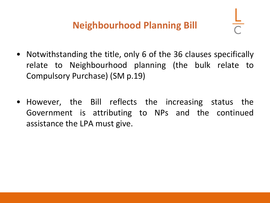- Notwithstanding the title, only 6 of the 36 clauses specifically relate to Neighbourhood planning (the bulk relate to Compulsory Purchase) (SM p.19)
- However, the Bill reflects the increasing status the Government is attributing to NPs and the continued assistance the LPA must give.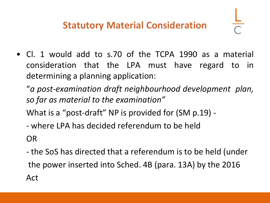- Cl. 1 would add to s.70 of the TCPA 1990 as a material consideration that the LPA must have regard to in determining a planning application:
	- "*a post-examination draft neighbourhood development plan, so far as material to the examination"*
	- What is a "post-draft" NP is provided for (SM p.19) -
	- where LPA has decided referendum to be held OR
	- the SoS has directed that a referendum is to be held (under the power inserted into Sched. 4B (para. 13A) by the 2016 Act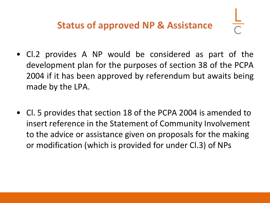- Cl.2 provides A NP would be considered as part of the development plan for the purposes of section 38 of the PCPA 2004 if it has been approved by referendum but awaits being made by the LPA.
- Cl. 5 provides that section 18 of the PCPA 2004 is amended to insert reference in the Statement of Community Involvement to the advice or assistance given on proposals for the making or modification (which is provided for under Cl.3) of NPs